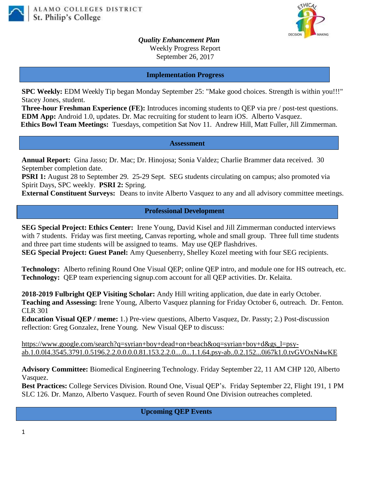



*Quality Enhancement Plan* Weekly Progress Report September 26, 2017

**Implementation Progress**

**SPC Weekly:** EDM Weekly Tip began Monday September 25: "Make good choices. Strength is within you!!!" Stacey Jones, student.

**Three-hour Freshman Experience (FE):** Introduces incoming students to QEP via pre / post-test questions. **EDM App:** Android 1.0, updates. Dr. Mac recruiting for student to learn iOS. Alberto Vasquez. **Ethics Bowl Team Meetings:** Tuesdays, competition Sat Nov 11. Andrew Hill, Matt Fuller, Jill Zimmerman.

## **Assessment**

**Annual Report:** Gina Jasso; Dr. Mac; Dr. Hinojosa; Sonia Valdez; Charlie Brammer data received. 30 September completion date.

**PSRI 1:** August 28 to September 29. 25-29 Sept. SEG students circulating on campus; also promoted via Spirit Days, SPC weekly. **PSRI 2:** Spring.

**External Constituent Surveys:** Deans to invite Alberto Vasquez to any and all advisory committee meetings.

## **Professional Development**

**SEG Special Project: Ethics Center:** Irene Young, David Kisel and Jill Zimmerman conducted interviews with 7 students. Friday was first meeting, Canvas reporting, whole and small group. Three full time students and three part time students will be assigned to teams. May use QEP flashdrives.

**SEG Special Project: Guest Panel:** Amy Quesenberry, Shelley Kozel meeting with four SEG recipients.

**Technology:** Alberto refining Round One Visual QEP; online QEP intro, and module one for HS outreach, etc. **Technology:** QEP team experiencing signup.com account for all QEP activities. Dr. Kelaita.

**2018-2019 Fulbright QEP Visiting Scholar:** Andy Hill writing application, due date in early October. **Teaching and Assessing:** Irene Young, Alberto Vasquez planning for Friday October 6, outreach. Dr. Fenton. CLR 301

**Education Visual QEP / meme:** 1.) Pre-view questions, Alberto Vasquez, Dr. Passty; 2.) Post-discussion reflection: Greg Gonzalez, Irene Young. New Visual QEP to discuss:

[https://www.google.com/search?q=syrian+boy+dead+on+beach&oq=syrian+boy+d&gs\\_l=psy](https://www.google.com/search?q=syrian+boy+dead+on+beach&oq=syrian+boy+d&gs_l=psy-ab.1.0.0l4.3545.3791.0.5196.2.2.0.0.0.0.81.153.2.2.0....0...1.1.64.psy-ab..0.2.152...0i67k1.0.tvGVOxN4wKE)[ab.1.0.0l4.3545.3791.0.5196.2.2.0.0.0.0.81.153.2.2.0....0...1.1.64.psy-ab..0.2.152...0i67k1.0.tvGVOxN4wKE](https://www.google.com/search?q=syrian+boy+dead+on+beach&oq=syrian+boy+d&gs_l=psy-ab.1.0.0l4.3545.3791.0.5196.2.2.0.0.0.0.81.153.2.2.0....0...1.1.64.psy-ab..0.2.152...0i67k1.0.tvGVOxN4wKE)

**Advisory Committee:** Biomedical Engineering Technology. Friday September 22, 11 AM CHP 120, Alberto Vasquez.

**Best Practices:** College Services Division. Round One, Visual QEP's.Friday September 22, Flight 191, 1 PM SLC 126. Dr. Manzo, Alberto Vasquez. Fourth of seven Round One Division outreaches completed.

**Upcoming QEP Events**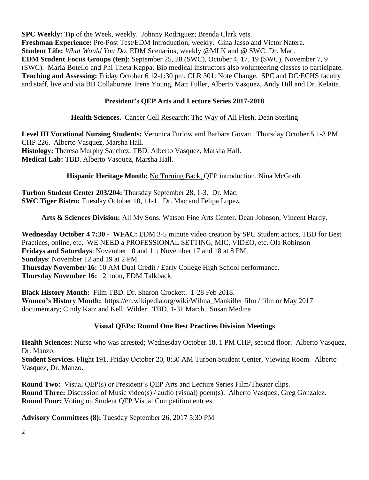**SPC Weekly:** Tip of the Week, weekly. Johnny Rodriguez; Brenda Clark vets. **Freshman Experience:** Pre-Post Test/EDM Introduction, weekly. Gina Jasso and Victor Natera. **Student Life:** *What Would You Do*, EDM Scenarios, weekly @MLK and @ SWC. Dr. Mac. **EDM Student Focus Groups (ten)**: September 25, 28 (SWC), October 4, 17, 19 (SWC), November 7, 9 (SWC). Maria Botello and Phi Theta Kappa. Bio medical instructors also volunteering classes to participate. **Teaching and Assessing:** Friday October 6 12-1:30 pm, CLR 301: Note Change. SPC and DC/ECHS faculty and staff, live and via BB Collaborate. Irene Young, Matt Fuller, Alberto Vasquez, Andy Hill and Dr. Kelaita.

## **President's QEP Arts and Lecture Series 2017-2018**

**Health Sciences.** Cancer Cell Research: The Way of All Flesh. Dean Sterling

**Level III Vocational Nursing Students:** Veronica Furlow and Barbara Govan. Thursday October 5 1-3 PM. CHP 226. Alberto Vasquez, Marsha Hall. **Histology:** Theresa Murphy Sanchez, TBD. Alberto Vasquez, Marsha Hall. **Medical Lab:** TBD. Alberto Vasquez, Marsha Hall.

**Hispanic Heritage Month:** No Turning Back, QEP introduction. Nina McGrath.

**Turbon Student Center 203/204:** Thursday September 28, 1-3. Dr. Mac. **SWC Tiger Bistro:** Tuesday October 10, 11-1. Dr. Mac and Felipa Lopez.

**Arts & Sciences Division:** All My Sons. Watson Fine Arts Center. Dean Johnson, Vincent Hardy.

**Wednesday October 4 7:30 - WFAC:** EDM 3-5 minute video creation by SPC Student actors, TBD for Best Practices, online, etc. WE NEED a PROFESSIONAL SETTING, MIC, VIDEO, etc. Ola Robinson **Fridays and Saturdays**: November 10 and 11; November 17 and 18 at 8 PM. **Sundays**: November 12 and 19 at 2 PM. **Thursday November 16:** 10 AM Dual Credit / Early College High School performance. **Thursday November 16:** 12 noon, EDM Talkback.

**Black History Month:** Film TBD. Dr. Sharon Crockett. 1-28 Feb 2018. **Women's History Month:** [https://en.wikipedia.org/wiki/Wilma\\_Mankiller film /](https://en.wikipedia.org/wiki/Wilma_Mankiller%20film%20/) film or May 2017 documentary; Cindy Katz and Kelli Wilder. TBD, 1-31 March. Susan Medina

## **Visual QEPs: Round One Best Practices Division Meetings**

**Health Sciences:** Nurse who was arrested; Wednesday October 18, 1 PM CHP, second floor. Alberto Vasquez, Dr. Manzo.

**Student Services.** Flight 191, Friday October 20, 8:30 AM Turbon Student Center, Viewing Room. Alberto Vasquez, Dr. Manzo.

**Round Two:** Visual QEP(s) or President's QEP Arts and Lecture Series Film/Theater clips. **Round Three:** Discussion of Music video(s) / audio (visual) poem(s). Alberto Vasquez, Greg Gonzalez. **Round Four:** Voting on Student QEP Visual Competition entries.

**Advisory Committees (8):** Tuesday September 26, 2017 5:30 PM